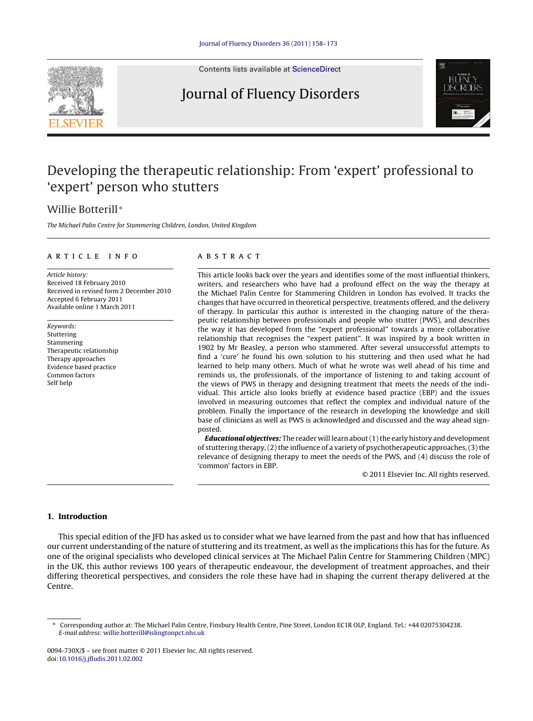

Contents lists available at [ScienceDirect](http://www.sciencedirect.com/science/journal/0094730X)

# Journal of Fluency Disorders



# Developing the therapeutic relationship: From 'expert' professional to 'expert' person who stutters

### Willie Botterill<sup>\*</sup>

The Michael Palin Centre for Stammering Children, London, United Kingdom

#### article info

Article history: Received 18 February 2010 Received in revised form 2 December 2010 Accepted 6 February 2011 Available online 1 March 2011

Keywords: Stuttering Stammering Therapeutic relationship Therapy approaches Evidence based practice Common factors Self help

#### **ABSTRACT**

This article looks back over the years and identifies some of the most influential thinkers, writers, and researchers who have had a profound effect on the way the therapy at the Michael Palin Centre for Stammering Children in London has evolved. It tracks the changes that have occurred in theoretical perspective, treatments offered, and the delivery of therapy. In particular this author is interested in the changing nature of the therapeutic relationship between professionals and people who stutter (PWS), and describes the way it has developed from the "expert professional" towards a more collaborative relationship that recognises the "expert patient". It was inspired by a book written in 1902 by Mr Beasley, a person who stammered. After several unsuccessful attempts to find a 'cure' he found his own solution to his stuttering and then used what he had learned to help many others. Much of what he wrote was well ahead of his time and reminds us, the professionals, of the importance of listening to and taking account of the views of PWS in therapy and designing treatment that meets the needs of the individual. This article also looks briefly at evidence based practice (EBP) and the issues involved in measuring outcomes that reflect the complex and individual nature of the problem. Finally the importance of the research in developing the knowledge and skill base of clinicians as well as PWS is acknowledged and discussed and the way ahead signposted.

**Educational objectives:** The reader will learn about (1) the early history and development of stuttering therapy, (2) the influence of a variety of psychotherapeutic approaches, (3) the relevance of designing therapy to meet the needs of the PWS, and (4) discuss the role of 'common' factors in EBP.

© 2011 Elsevier Inc. All rights reserved.

#### **1. Introduction**

This special edition of the JFD has asked us to consider what we have learned from the past and how that has influenced our current understanding of the nature of stuttering and its treatment, as well as the implications this has for the future. As one of the original specialists who developed clinical services at The Michael Palin Centre for Stammering Children (MPC) in the UK, this author reviews 100 years of therapeutic endeavour, the development of treatment approaches, and their differing theoretical perspectives, and considers the role these have had in shaping the current therapy delivered at the Centre.

<sup>∗</sup> Corresponding author at: The Michael Palin Centre, Finsbury Health Centre, Pine Street, London EC1R OLP, England. Tel.: +44 02075304238. E-mail address: [willie.botterill@islingtonpct.nhs.uk](mailto:willie.botterill@islingtonpct.nhs.uk)

<sup>0094-730</sup>X/\$ – see front matter © 2011 Elsevier Inc. All rights reserved. doi[:10.1016/j.jfludis.2011.02.002](dx.doi.org/10.1016/j.jfludis.2011.02.002)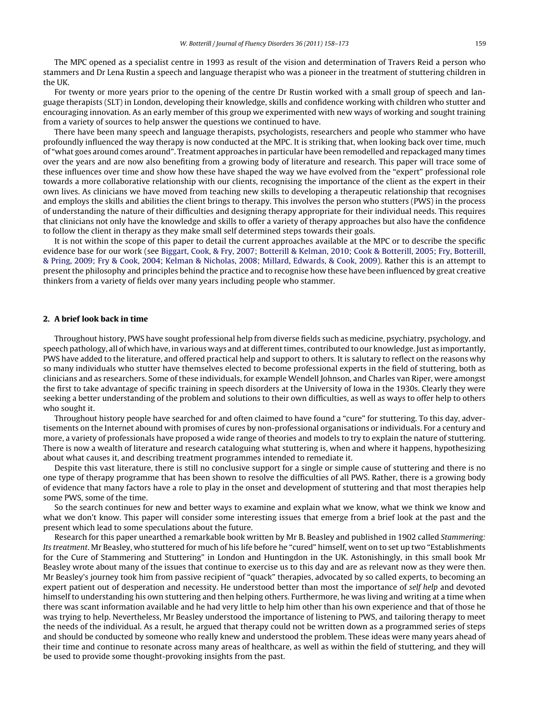The MPC opened as a specialist centre in 1993 as result of the vision and determination of Travers Reid a person who stammers and Dr Lena Rustin a speech and language therapist who was a pioneer in the treatment of stuttering children in the UK.

For twenty or more years prior to the opening of the centre Dr Rustin worked with a small group of speech and language therapists (SLT) in London, developing their knowledge, skills and confidence working with children who stutter and encouraging innovation. As an early member of this group we experimented with new ways of working and sought training from a variety of sources to help answer the questions we continued to have.

There have been many speech and language therapists, psychologists, researchers and people who stammer who have profoundly influenced the way therapy is now conducted at the MPC. It is striking that, when looking back over time, much of "what goes around comes around". Treatment approaches in particular have been remodelled and repackaged many times over the years and are now also benefiting from a growing body of literature and research. This paper will trace some of these influences over time and show how these have shaped the way we have evolved from the "expert" professional role towards a more collaborative relationship with our clients, recognising the importance of the client as the expert in their own lives. As clinicians we have moved from teaching new skills to developing a therapeutic relationship that recognises and employs the skills and abilities the client brings to therapy. This involves the person who stutters (PWS) in the process of understanding the nature of their difficulties and designing therapy appropriate for their individual needs. This requires that clinicians not only have the knowledge and skills to offer a variety of therapy approaches but also have the confidence to follow the client in therapy as they make small self determined steps towards their goals.

It is not within the scope of this paper to detail the current approaches available at the MPC or to describe the specific evidence base for our work (see [Biggart, Cook, & Fry, 2007; Botterill & Kelman, 2010; Cook & Botterill, 2005; Fry, Botterill,](#page--1-0) [& Pring, 2009; Fry & Cook, 2004; Kelman & Nicholas, 2008; Millard, Edwards, & Cook, 2009\).](#page--1-0) Rather this is an attempt to present the philosophy and principles behind the practice and to recognise how these have been influenced by great creative thinkers from a variety of fields over many years including people who stammer.

#### **2. A brief look back in time**

Throughout history, PWS have sought professional help from diverse fields such as medicine, psychiatry, psychology, and speech pathology, all of which have, in various ways and at different times, contributed to our knowledge. Just as importantly, PWS have added to the literature, and offered practical help and support to others. It is salutary to reflect on the reasons why so many individuals who stutter have themselves elected to become professional experts in the field of stuttering, both as clinicians and as researchers. Some of these individuals, for example Wendell Johnson, and Charles van Riper, were amongst the first to take advantage of specific training in speech disorders at the University of Iowa in the 1930s. Clearly they were seeking a better understanding of the problem and solutions to their own difficulties, as well as ways to offer help to others who sought it.

Throughout history people have searched for and often claimed to have found a "cure" for stuttering. To this day, advertisements on the Internet abound with promises of cures by non-professional organisations or individuals. For a century and more, a variety of professionals have proposed a wide range of theories and models to try to explain the nature of stuttering. There is now a wealth of literature and research cataloguing what stuttering is, when and where it happens, hypothesizing about what causes it, and describing treatment programmes intended to remediate it.

Despite this vast literature, there is still no conclusive support for a single or simple cause of stuttering and there is no one type of therapy programme that has been shown to resolve the difficulties of all PWS. Rather, there is a growing body of evidence that many factors have a role to play in the onset and development of stuttering and that most therapies help some PWS, some of the time.

So the search continues for new and better ways to examine and explain what we know, what we think we know and what we don't know. This paper will consider some interesting issues that emerge from a brief look at the past and the present which lead to some speculations about the future.

Research for this paper unearthed a remarkable book written by Mr B. Beasley and published in 1902 called Stammering: Its treatment. Mr Beasley, who stuttered for much of his life before he "cured" himself, went on to set up two "Establishments for the Cure of Stammering and Stuttering" in London and Huntingdon in the UK. Astonishingly, in this small book Mr Beasley wrote about many of the issues that continue to exercise us to this day and are as relevant now as they were then. Mr Beasley's journey took him from passive recipient of "quack" therapies, advocated by so called experts, to becoming an expert patient out of desperation and necessity. He understood better than most the importance of self help and devoted himself to understanding his own stuttering and then helping others. Furthermore, he was living and writing at a time when there was scant information available and he had very little to help him other than his own experience and that of those he was trying to help. Nevertheless, Mr Beasley understood the importance of listening to PWS, and tailoring therapy to meet the needs of the individual. As a result, he argued that therapy could not be written down as a programmed series of steps and should be conducted by someone who really knew and understood the problem. These ideas were many years ahead of their time and continue to resonate across many areas of healthcare, as well as within the field of stuttering, and they will be used to provide some thought-provoking insights from the past.